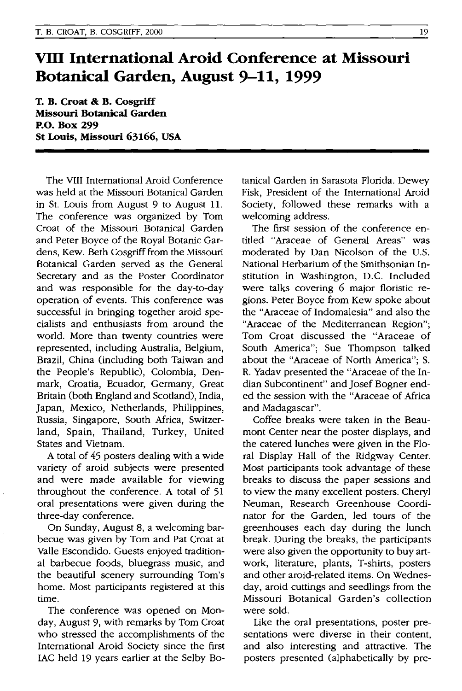## **VllI International Aroid Conference at Missouri Botanical Garden, August 9-11, 1999**

**T. B. Croat & B. Cosgriff Missouri Botanical Garden P.o. Box 299 St Louis, Missouri 63166, USA** 

The VIII International Aroid Conference was held at the Missouri Botanical Garden in St. Louis from August 9 to August II. The conference was organized by Tom Croat of the Missouri Botanical Garden and Peter Boyce of the Royal Botanic Gardens, Kew. Beth Cosgriff from the Missouri Botanical Garden served as the General Secretary and as the Poster Coordinator and was responsible for the day-to-day operation of events. This conference was successful in bringing together aroid specialists and enthusiasts from around the world. More than twenty countries were represented, including Australia, Belgium, Brazil, China (including both Taiwan and the People's Republic), Colombia, Denmark, Croatia, Ecuador, Germany, Great Britain (both England and Scotland), India, Japan, Mexico, Netherlands, Philippines, Russia, Singapore, South Africa, Switzerland, Spain, Thailand, Turkey, United States and Vietnam.

A total of 45 posters dealing with a wide variety of aroid subjects were presented and were made available for viewing throughout the conference. A total of 51 oral presentations were given during the three-day conference.

On Sunday, August 8, a welcoming barbecue was given by Tom and Pat Croat at Valle Escondido. Guests enjoyed traditional barbecue foods, bluegrass music, and the beautiful scenery surrounding Tom's home. Most participants registered at this time.

The conference was opened on Monday, August 9, with remarks by Tom Croat who stressed the accomplishments of the International Aroid Society since the first lAC held 19 years earlier at the Selby Botanical Garden in Sarasota Florida. Dewey Fisk, President of the International Aroid Society, followed these remarks with a welcoming address.

The first session of the conference entitled "Araceae of General Areas" was moderated by Dan Nicolson of the U.S. National Herbarium of the Smithsonian Institution in Washington, D.C. Included were talks covering 6 major floristic regions. Peter Boyce from Kew spoke about the "Araceae of Indomalesia" and also the "Araceae of the Mediterranean Region"; Tom Croat discussed the "Araceae of South America"; Sue Thompson talked about the "Araceae of North America"; S. R. Yadav presented the "Araceae of the Indian Subcontinent" and Josef Bogner ended the session with the "Araceae of Africa and Madagascar".

Coffee breaks were taken in the Beaumont Center near the poster displays, and the catered lunches were given in the Floral Display Hall of the Ridgway Center. Most participants took advantage of these breaks to discuss the paper sessions and to view the many excellent posters. Cheryl Neuman, Research Greenhouse Coordinator for the Garden, led tours of the greenhouses each day during the lunch break. During the breaks, the participants were also given the opportunity to buy artwork, literature, plants, T-shirts, posters and other aroid-related items. On Wednesday, aroid cuttings and seedlings from the Missouri Botanical Garden's collection were sold.

Like the oral presentations, poster presentations were diverse in their content, and also interesting and attractive. The posters presented (alphabetically by pre-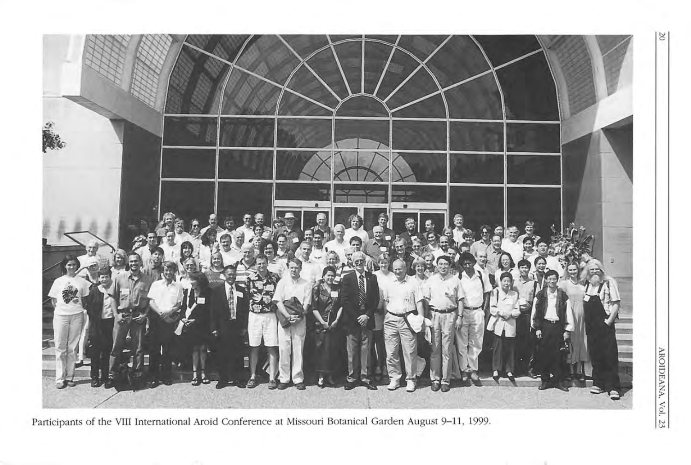

Participants of the **VIII** International Aroid Conference at Missouri Botanical Garden August 9-11, 1999.

 $\frac{1}{2}$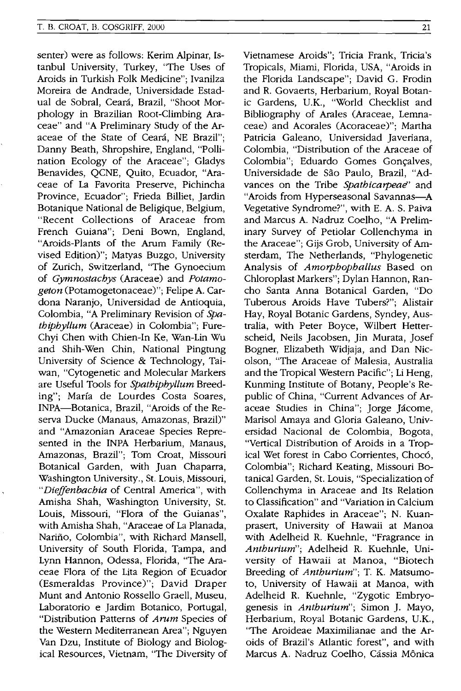senter) were as follows: Kerim Alpinar, Istanbul University, Turkey, "The Uses of Aroids in Turkish Folk Medicine"; Ivanilza Moreira de Andrade, Universidade Estadual de Sobral, Ceara, Brazil, "Shoot Morphology in Brazilian Root-Climbing Araceae" and "A Preliminary Study of the Araceae of the State of Ceará, NE Brazil"; Danny Beath, Shropshire, England, "Pollination Ecology of the Araceae"; Gladys Benavides, QCNE, Quito, Ecuador, "Araceae of La Favorita Preserve, Pichincha Province, Ecuador"; Frieda Billiet, Jardin Botanique National de Beligique, Belgium, "Recent Collections of Araceae from French Guiana"; Deni Bown, England, "Aroids-Plants of the Arum Family (Revised Edition)"; Matyas Buzgo, University of Zurich, Switzerland, "The Gynoecium of *Gymnostachys* (Araceae) and *Potamogeton* (Potamogetonaceae)"; Felipe A. Cardona Naranjo, Universidad de Antioquia, Colombia, "A Preliminary Revision of *Spathiphyllum* (Araceae) in Colombia"; Fure-Chyi Chen with Chien-In Ke, Wan-Lin Wu and Shih-Wen Chin, National Pingtung University of Science & Technology, Taiwan, "Cytogenetic and Molecular Markers are Useful Tools for *Spathiphyllum* Breeding"; Marfa de Lourdes Costa Soares, INPA-Botanica, Brazil, "Aroids of the Reserva Ducke (Manaus, Amazonas, Brazil)" and "Amazonian Araceae Species Represented in the INPA Herbarium, Manaus, Amazonas, Brazil"; Tom Croat, Missouri Botanical Garden, with Juan Chaparra, Washington University., St. Louis, Missouri, *"Dieffenbachia* of Central America", with Amisha Shah, Washington University, St. Louis, Missouri, "Flora of the Guianas", with Amisha Shah, "Araceae of La Planada, Nariño, Colombia", with Richard Mansell, University of South Florida, Tampa, and Lynn Hannon, Odessa, Florida, "The Araceae Flora of the Lita Region of Ecuador (Esmeraldas Province)"; David Draper Munt and Antonio Rossello Graell, Museu, Laboratorio e Jardim Botanico, Portugal, "Distribution Patterns of *Arum* Species of the Western Mediterranean Area"; Nguyen Van Dzu, Institute of Biology and Biological Resources, Vietnam, "The Diversity of Vietnamese Aroids"; Tricia Frank, Tricia's Tropicals, Miami, Florida, USA, "Aroids in the Florida Landscape"; David G. Frodin and R. Govaerts, Herbarium, Royal Botanic Gardens, u.K., "World Checklist and Bibliography of Arales (Araceae, Lemnaceae) and Acorales (Acoraceae)"; Martha Patricia Galeano, Universidad Javeriana, Colombia, "Distribution of the Araceae of Colombia"; Eduardo Gomes Gonçalves, Universidade de Sao Paulo, Brazil, "Advances on the Tribe Spathicarpeae' and "Aroids from Hyperseasonal Savannas-A Vegetative Syndrome?", with E. A. S. Paiva and Marcus A. Nadruz Coelho, "A Preliminary Survey of Petiolar Collenchyma in the Araceae"; Gijs Grob, University of Amsterdam, The Netherlands, "Phylogenetic Analysis of *Amorphophal/us* Based on Chloroplast Markers"; Dylan Hannon, Rancho Santa Anna Botanical Garden, "Do Tuberous Aroids Have Tubers?"; Alistair Hay, Royal Botanic Gardens, Syndey, Australia, with Peter Boyce, Wilbert Hetterscheid, Neils Jacobsen, Jin Murata, Josef Bogner, Elizabeth Widjaja, and Dan Nicolson, "The Araceae of Malesia, Australia and the Tropical Western Pacific"; Li Heng, Kunming Institute of Botany, People's Republic of China, "Current Advances of Araceae Studies in China"; Jorge Jácome, Marisol Amaya and Gloria Galeano, Universidad Nacional de Colombia, Bogota, "Vertical Distribution of Aroids in a Tropical Wet forest in Cabo Corrientes, Choc6, Colombia"; Richard Keating, Missouri Botanical Garden, St. Louis, "Specialization of Collenchyma in Araceae and Its Relation to Classification" and "Variation in Calcium Oxalate Raphides in Araceae"; N. Kuanprasert, University of Hawaii at Manoa with Adelheid R. Kuehnle, "Fragrance in *Anthurium";* Adelheid R. Kuehnle, University of Hawaii at Manoa, "Biotech Breeding of *Anthurium";* T. K. Matsumoto, University of Hawaii at Manoa, with Adelheid R. Kuehnle, "Zygotic Embryogenesis in *Anthurium*"; Simon J. Mayo, Herbarium, Royal Botanic Gardens, U.K., "The Aroideae Maximilianae and the Aroids of Brazil's Atlantic forest", and with Marcus A. Nadruz Coelho, Cássia Mônica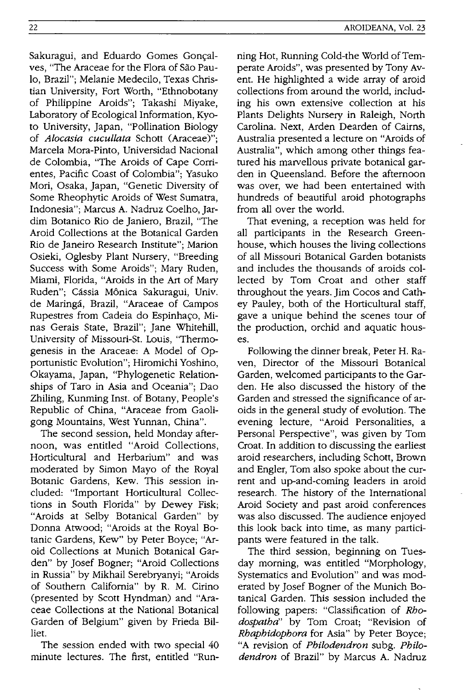Sakuragui, and Eduardo Gomes Gonçalves, "The Araceae for the Flora of Sao Paulo, Brazil"; Melanie Medecilo, Texas Christian University, Fort Worth, "Ethnobotany of Philippine Aroids"; Takashi Miyake, Laboratory of Ecological Information, Kyoto University, Japan, "Pollination Biology of *Alocasia cucullata* Schott (Araceae)"; Marcela Mora-Pinto, Universidad Nacional de Colombia, "The Aroids of Cape Corrientes, Pacific Coast of Colombia"; Yasuko Mori, Osaka, Japan, "Genetic Diversity of Some Rheophytic Aroids of West Sumatra, Indonesia"; Marcus A. Nadruz Coelho, Jardim Botanico Rio de Janiero, Brazil, "The Aroid Collections at the Botanical Garden Rio de Janeiro Research Institute"; Marion Osieki, Oglesby Plant Nursery, "Breeding Success with Some Aroids"; Mary Ruden, Miami, Florida, "Aroids in the Art of Mary Ruden"; Cássia Mônica Sakuragui, Univ. de Maringa, Brazil, "Araceae of Campos Rupestres from Cadeia do Espinhaço, Minas Gerais State, Brazil"; Jane Whitehill, University of Missouri-St. Louis, "Thermogenesis in the Araceae: A Model of Opportunistic Evolution"; Hiromichi Yoshino, Okayama, Japan, "Phylogenetic Relationships of Taro in Asia and Oceania"; Dao Zhiling, Kunming Inst. of Botany, People's Republic of China, "Araceae from Gaoligong Mountains, West Yunnan, China".

The second session, held Monday afternoon, was entitled "Aroid Collections, Horticultural and Herbarium" and was moderated by Simon Mayo of the Royal Botanic Gardens, Kew. This session included: "Important Horticultural Collections in South Florida" by Dewey Fisk; "Aroids at Selby Botanical Garden" by Donna Atwood; "Aroids at the Royal Botanic Gardens, Kew" by Peter Boyce; "Aroid Collections at Munich Botanical Garden" by Josef Bogner; "Aroid Collections in Russia" by Mikhail Serebryanyi; "Aroids of Southern California" by R. M. Cirino (presented by Scott Hyndman) and "Araceae Collections at the National Botanical Garden of Belgium" given by Frieda Billiet.

The session ended with two special 40 minute lectures. The first, entitled "Running Hot, Running Cold-the World of Temperate Aroids", was presented by Tony Avent. He highlighted a wide array of aroid collections from around the world, including his own extensive collection at his Plants Delights Nursery in Raleigh, North Carolina. Next, Arden Dearden of Cairns, Australia presented a lecture on "Aroids of Australia", which among other things featured his marvellous private botanical garden in Queensland. Before the afternoon was over, we had been entertained with hundreds of beautiful aroid photographs from all over the world.

That evening, a reception was held for all participants in the Research Greenhouse, which houses the living collections of all Missouri Botanical Garden botanists and includes the thousands of aroids collected by Tom Croat and other staff throughout the years. Jim Cocos and Cathey Pauley, both of the Horticultural staff, gave a unique behind the scenes tour of the production, orchid and aquatic houses.

Following the dinner break, Peter H. Raven, Director of the Missouri Botanical Garden, welcomed participants to the Garden. He also discussed the history of the Garden and stressed the significance of aroids in the general study of evolution. The evening lecture, "Aroid Personalities, a Personal Perspective", was given by Tom Croat. In addition to discussing the earliest aroid researchers, including Schott, Brown and Engler, Tom also spoke about the current and up-and-COming leaders in aroid research. The history of the International Aroid Society and past aroid conferences was also discussed. The audience enjoyed this look back into time, as many participants were featured in the talk.

The third session, beginning on Tuesday morning, was entitled "Morphology, Systematics and Evolution" and was moderated by Josef Bogner of the Munich Botanical Garden. This session included the follOWing papers: "Classification of *Rhodospatha"* by Tom Croat; "Revision of *Rhaphidophora* for Asia" by Peter Boyce; "A revision of *Philodendron* subg. *Philodendron* of Brazil" by Marcus A. Nadruz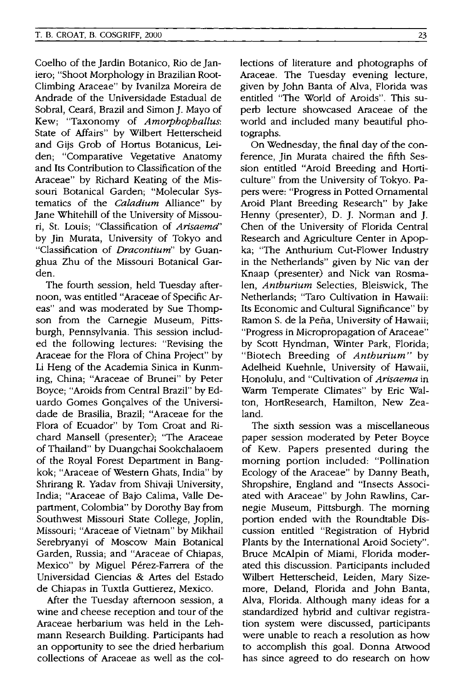Coelho of the Jardin Botanico, Rio de Janiero; "Shoot Morphology in Brazilian Root-Climbing Araceae" by Ivanilza Moreira de Andrade of the Universidade Estadual de Sobral, Ceará, Brazil and Simon J. Mayo of Kew; "Taxonomy of *Amorphophallus:*  State of Affairs" by Wilbert Hetterscheid and Gijs Grob of Hortus Botanicus, Leiden; "Comparative Vegetative Anatomy and Its Contribution to Classification of the Araceae" by Richard Keating of the Missouri Botanical Garden; "Molecular Systematics of the *Caladium* Alliance" by Jane Whitehill of the University of Missouri, St. Louis; "Classification of *Arisaema"*  by Jin Murata, University of Tokyo and "Classification of *Dracontium"* by Guanghua Zhu of the Missouri Botanical Garden.

The fourth session, held Tuesday afternoon, was entitled "Araceae of Specific Areas" and was moderated by Sue Thompson from the Carnegie Museum, Pittsburgh, Pennsylvania. This session included the following lectures: "Revising the Araceae for the Flora of China Project" by Li Heng of the Academia Sinica in Kunming, China; "Araceae of Brunei" by Peter Boyce; "Aroids from Central Brazil" by Eduardo Gomes Gonçalves of the Universidade de Brasilia, Brazil; "Araceae for the Flora of Ecuador" by Tom Croat and Richard Mansell (presenter); "The Araceae of Thailand" by Duangchai Sookchalaoem of the Royal Forest Department in Bangkok; "Araceae of Western Ghats, India" by Shrirang R. Yadav from Shivaji University, India; "Araceae of Bajo Calima, Valle Department, Colombia" by Dorothy Bay from Southwest Missouri State College, Joplin, Missouri; "Araceae of Vietnam" by Mikhail Serebryanyi of Moscow Main Botanical Garden, Russia; and "Araceae of Chiapas, Mexico" by Miguel Pérez-Farrera of the Universidad Ciencias & Artes del Estado de Chiapas in Tuxtla Guttierez, Mexico.

After the Tuesday afternoon session, a wine and cheese reception and tour of the Araceae herbarium was held in the Lehmann Research Building. Participants had an opportunity to see the dried herbarium collections of Araceae as well as the collections of literature and photographs of Araceae. The Tuesday evening lecture, given by John Banta of Alva, Florida was entitled "The World of Aroids". This superb lecture showcased Araceae of the world and included many beautiful photographs.

On Wednesday, the final day of the conference, Jin Murata chaired the fifth Session entitled "Aroid Breeding and Horticulture" from the University of Tokyo. Papers were: "Progress in Potted Ornamental Aroid Plant Breeding Research" by Jake Henny (presenter), D. J. Norman and J. Chen of the University of Florida Central Research and Agriculture Center in Apopka; "The Anthurium Cut-Flower Industry in the Netherlands" given by Nic van der Knaap (presenter) and Nick van Rosmalen, *Anthurium* Selecties, Bleiswick, The Netherlands; "Taro Cultivation in Hawaii: Its Economic and Cultural Significance" by Ramon S. de la Pena, University of Hawaii; "Progress in Micropropagation of Araceae" by Scott Hyndman, Winter Park, Florida; "Biotech Breeding of *Anthurium"* by Ade1heid Kuehnle, University of Hawaii, Honolulu, and "Cultivation of *Arisaema* in Warm Temperate Climates" by Eric Walton, HortResearch, Hamilton, New Zealand.

The sixth session was a miscellaneous paper session moderated by Peter Boyce of Kew. Papers presented during the morning portion included: "Pollination Ecology of the Araceae" by Danny Beath, Shropshire, England and "Insects Associated with Araceae" by John Rawlins, Carnegie Museum, Pittsburgh. The morning portion ended with the Roundtable Discussion entitled "Registration of Hybrid Plants by the International Aroid Society". Bruce McAlpin of Miami, Florida moderated this discussion. Participants included Wilbert Hetterscheid, Leiden, Mary Sizemore, Deland, Florida and John Banta, Alva, Florida. Although many ideas for a standardized hybrid and cultivar registration system were discussed, participants were unable to reach a resolution as how to accomplish this goal. Donna Atwood has since agreed to do research on how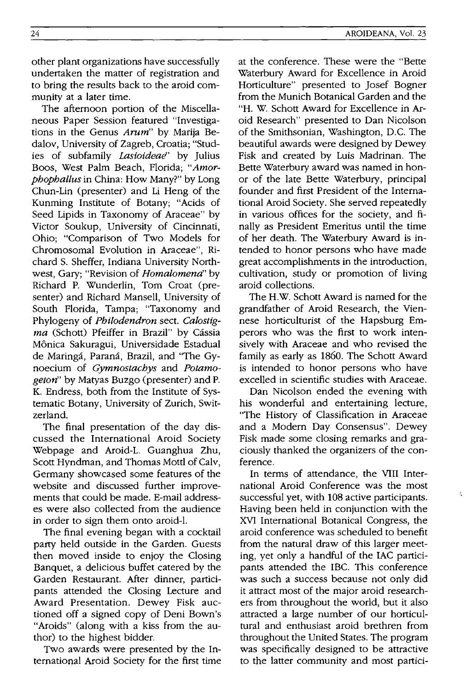other plant organizations have successfully undertaken the matter of registration and to bring the results back to the aroid community at a later time.

The afternoon portion of the Miscellaneous Paper Session featured "Investigations in the Genus *Arum"* by Marija Bedalov, University of Zagreb, Croatia; "Studies of subfamily *Lasioideae'* by Julius Boos, West Palm Beach, Florida; *"Amorphophallus* in China: How Many?" by Long Chun-Lin (presenter) and Li Heng of the Kunming Institute of Botany; "Acids of Seed Lipids in Taxonomy of Araceae" by Victor Soukup, University of Cincinnati, Ohio; "Comparison of Two Models for Chromosomal Evolution in Araceae", Richard S. Sheffer, Indiana University Northwest, Gary; "Revision of *Homalomena"* by Richard P. Wunderlin, Tom Croat (presenter) and Richard Mansell, University of South Florida, Tampa; "Taxonomy and Phylogeny of *Philodendron* sect. *Calostig*ma (Schott) Pfeiffer in Brazil" by Cássia Monica Sakuragui, Universidade Estadual de Maringá, Paraná, Brazil, and "The Gynoecium of *Gymnostachys* and *Potamogeton"* by Matyas Buzgo (presenter) and P. K. Endress, both from the Institute of Systematic Botany, University of Zurich, Switzerland.

The final presentation of the day discussed the International Aroid Society Webpage and Aroid-L. Guanghua Zhu, Scott Hyndman, and Thomas Mottl of Calv, Germany showcased some features of the website and discussed further improvements that could be made. E-mail addresses were also collected from the audience in order to sign them onto aroid-1.

The final evening began with a cocktail party held outside in the Garden. Guests then moved inside to enjoy the Closing Banquet, a delicious buffet catered by the Garden Restaurant. After dinner, participants attended the Closing Lecture and Award Presentation. Dewey Fisk auctioned off a signed copy of Deni Bown's "Aroids" (along with a kiss from the author) to the highest bidder.

Two awards were presented by the International Aroid Society for the first time at the conference. These were the "Bette Waterbury Award for Excellence in Aroid Horticulture" presented to Josef Bogner from the Munich Botanical Garden and the "H. W. Schott Award for Excellence in Aroid Research" presented to Dan Nicolson of the Smithsonian, Washington, D.C. The beautiful awards were designed by Dewey Fisk and created by Luis Madrinan. The Bette Waterbury award was named in honor of the late Bette Waterbury, principal founder and first President of the International Aroid Society. She served repeatedly in various offices for the society, and finally as President Emeritus until the time of her death. The Waterbury Award is intended to honor persons who have made great accomplishments in the introduction, cultivation, study or promotion of living aroid collections.

The H.W. Schott Award is named for the grandfather of Aroid Research, the Viennese horticulturist of the Hapsburg Emperors who was the first to work intensively with Araceae and who revised the family as early as 1860. The Schott Award is intended to honor persons who have excelled in scientific studies with Araceae.

Dan Nicolson ended the evening with his wonderful and entertaining lecture, "The History of Classification in Araceae and a Modern Day Consensus". Dewey Fisk made some closing remarks and graciously thanked the organizers of the conference.

In terms of attendance, the VIII International Aroid Conference was the most successful yet, with 108 active participants. Having been held in conjunction with the XVI International Botanical Congress, the aroid conference was scheduled to benefit from the natural draw of this larger meeting, yet only a handful of the lAC participants attended the IBC. This conference was such a success because not only did it attract most of the major aroid researchers from throughout the world, but it also attracted a large number of our horticultural and enthusiast aroid brethren from throughout the United States. The program was specifically designed to be attractive to the latter community and most partici